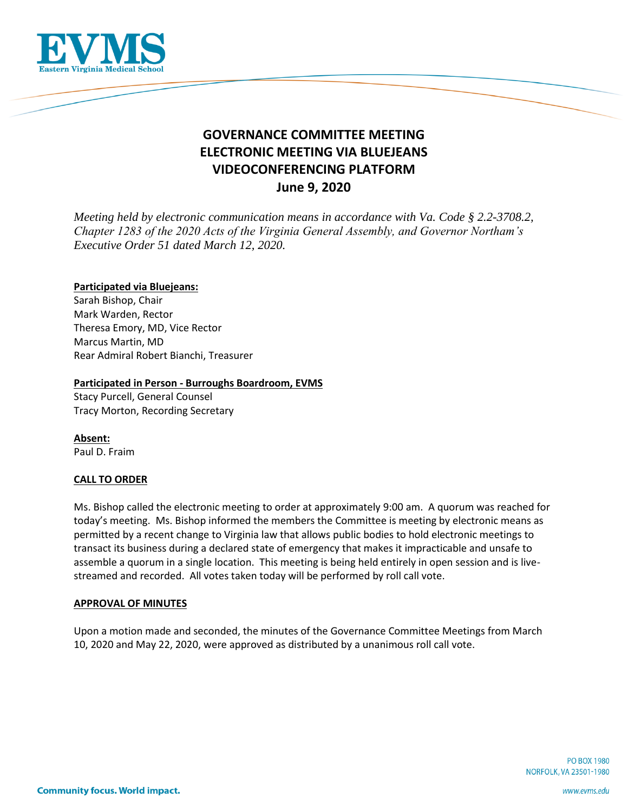

# **GOVERNANCE COMMITTEE MEETING ELECTRONIC MEETING VIA BLUEJEANS VIDEOCONFERENCING PLATFORM June 9, 2020**

*Meeting held by electronic communication means in accordance with Va. Code § 2.2-3708.2, Chapter 1283 of the 2020 Acts of the Virginia General Assembly, and Governor Northam's Executive Order 51 dated March 12, 2020.*

## **Participated via Bluejeans:**

Sarah Bishop, Chair Mark Warden, Rector Theresa Emory, MD, Vice Rector Marcus Martin, MD Rear Admiral Robert Bianchi, Treasurer

### **Participated in Person - Burroughs Boardroom, EVMS**

Stacy Purcell, General Counsel Tracy Morton, Recording Secretary

**Absent:** Paul D. Fraim

## **CALL TO ORDER**

Ms. Bishop called the electronic meeting to order at approximately 9:00 am. A quorum was reached for today's meeting. Ms. Bishop informed the members the Committee is meeting by electronic means as permitted by a recent change to Virginia law that allows public bodies to hold electronic meetings to transact its business during a declared state of emergency that makes it impracticable and unsafe to assemble a quorum in a single location. This meeting is being held entirely in open session and is livestreamed and recorded. All votes taken today will be performed by roll call vote.

# **APPROVAL OF MINUTES**

Upon a motion made and seconded, the minutes of the Governance Committee Meetings from March 10, 2020 and May 22, 2020, were approved as distributed by a unanimous roll call vote.

> **PO BOX 1980** NORFOLK, VA 23501-1980